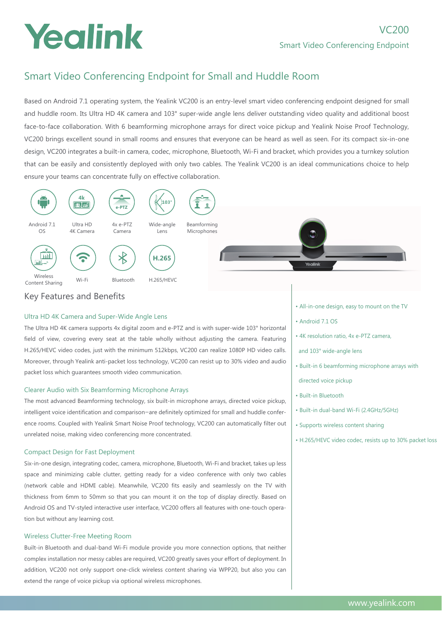# Yealink

# Smart Video Conferencing Endpoint for Small and Huddle Room

Based on Android 7.1 operating system, the Yealink VC200 is an entry-level smart video conferencing endpoint designed for small and huddle room. Its Ultra HD 4K camera and 103° super-wide angle lens deliver outstanding video quality and additional boost face-to-face collaboration. With 6 beamforming microphone arrays for direct voice pickup and Yealink Noise Proof Technology, VC200 brings excellent sound in small rooms and ensures that everyone can be heard as well as seen. For its compact six-in-one design, VC200 integrates a built-in camera, codec, microphone, Bluetooth, Wi-Fi and bracket, which provides you a turnkey solution that can be easily and consistently deployed with only two cables. The Yealink VC200 is an ideal communications choice to help ensure your teams can concentrate fully on effective collaboration.



# Key Features and Benefits

# Ultra HD 4K Camera and Super-Wide Angle Lens

The Ultra HD 4K camera supports 4x digital zoom and e-PTZ and is with super-wide 103° horizontal field of view, covering every seat at the table wholly without adjusting the camera. Featuring H.265/HEVC video codes, just with the minimum 512kbps, VC200 can realize 1080P HD video calls. Moreover, through Yealink anti-packet loss technology, VC200 can resist up to 30% video and audio packet loss which guarantees smooth video communication.

# Clearer Audio with Six Beamforming Microphone Arrays

The most advanced Beamforming technology, six built-in microphone arrays, directed voice pickup, intelligent voice identification and comparison—are definitely optimized for small and huddle conference rooms. Coupled with Yealink Smart Noise Proof technology, VC200 can automatically filter out unrelated noise, making video conferencing more concentrated.

# Compact Design for Fast Deployment

Six-in-one design, integrating codec, camera, microphone, Bluetooth, Wi-Fi and bracket, takes up less space and minimizing cable clutter, getting ready for a video conference with only two cables (network cable and HDMI cable). Meanwhile, VC200 fits easily and seamlessly on the TV with thickness from 6mm to 50mm so that you can mount it on the top of display directly. Based on Android OS and TV-styled interactive user interface, VC200 offers all features with one-touch operation but without any learning cost.

# Wireless Clutter-Free Meeting Room

Built-in Bluetooth and dual-band Wi-Fi module provide you more connection options, that neither complex installation nor messy cables are required, VC200 greatly saves your effort of deployment. In addition, VC200 not only support one-click wireless content sharing via WPP20, but also you can extend the range of voice pickup via optional wireless microphones.

- All-in-one design, easy to mount on the TV
- Android 7.1 OS
- 4K resolution ratio, 4x e-PTZ camera,
- and 103° wide-angle lens
- Built-in 6 beamforming microphone arrays with
- directed voice pickup
- Built-in Bluetooth
- Built-in dual-band Wi-Fi (2.4GHz/5GHz)
- Supports wireless content sharing
- H.265/HEVC video codec, resists up to 30% packet loss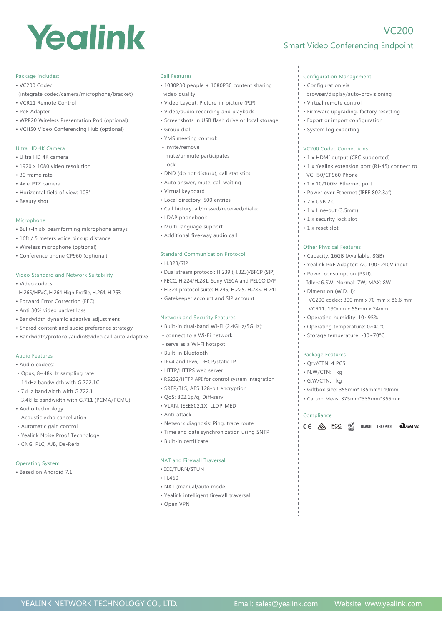# Yealink

# Smart Video Conferencing Endpoint

VC200

#### Package includes:

- VC200 Codec
- (integrate codec/camera/microphone/bracket)
- VCR11 Remote Control
- PoE Adapter
- WPP20 Wireless Presentation Pod (optional)
- VCH50 Video Conferencing Hub (optional)

#### Ultra HD 4K Camera

- Ultra HD 4K camera
- 1920 x 1080 video resolution
- 30 frame rate
- 4x e-PTZ camera
- Horizontal field of view: 103°
- Beauty shot

#### Microphone

- Built-in six beamforming microphone arrays
- 16ft / 5 meters voice pickup distance
- Wireless microphone (optional)
- Conference phone CP960 (optional)

#### Video Standard and Network Suitability

- Video codecs:
- H.265/HEVC, H.264 High Profile, H.264, H.263
- Forward Error Correction (FEC)
- Anti 30% video packet loss
- Bandwidth dynamic adaptive adjustment
- Shared content and audio preference strategy
- Bandwidth/protocol/audio&video call auto adaptive

#### Audio Features

- Audio codecs:
- Opus, 8~48kHz sampling rate
- 14kHz bandwidth with G.722.1C
- 7kHz bandwidth with G.722.1
- 3.4kHz bandwidth with G.711 (PCMA/PCMU)
- Audio technology:
- Acoustic echo cancellation
- Automatic gain control
- Yealink Noise Proof Technology
- CNG, PLC, AJB, De-Rerb

#### Operating System

• Based on Android 7.1

#### Call Features

- 1080P30 people + 1080P30 content sharing video quality
- Video Layout: Picture-in-picture (PIP)
- Video/audio recording and playback
- Screenshots in USB flash drive or local storage
- Group dial
- YMS meeting control:
- invite/remove
- mute/unmute participates
- lock
- DND (do not disturb), call statistics
- Auto answer, mute, call waiting
- Virtual keyboard
- Local directory: 500 entries
- Call history: all/missed/received/dialed
- LDAP phonebook
- Multi-language support
- Additional five-way audio call

#### Standard Communication Protocol

- H.323/SIP
- Dual stream protocol: H.239 (H.323)/BFCP (SIP)
- FECC: H.224/H.281, Sony VISCA and PELCO D/P
- H.323 protocol suite: H.245, H.225, H.235, H.241
- Gatekeeper account and SIP account

#### Network and Security Features

- Built-in dual-band Wi-Fi (2.4GHz/5GHz):
- connect to a Wi-Fi network
- serve as a Wi-Fi hotspot
- Built-in Bluetooth
- IPv4 and IPv6, DHCP/static IP
- HTTP/HTTPS web server
- RS232/HTTP API for control system integration
- SRTP/TLS, AES 128-bit encryption
- QoS: 802.1p/q, Diff-serv
- VLAN, IEEE802.1X, LLDP-MED
- Anti-attack
- Network diagnosis: Ping, trace route
- Time and date synchronization using SNTP
- Built-in certificate

#### NAT and Firewall Traversal

- ICE/TURN/STUN
- H.460
- NAT (manual/auto mode)
- Yealink intelligent firewall traversal

YEALINK NETWORK TECHNOLOGY CO., LTD. The Mail: sales@yealink.com Website: www.yealink.com

• Open VPN

- Configuration Management
- Configuration via
- browser/display/auto-provisioning
- Virtual remote control
- Firmware upgrading, factory resetting
- Export or import configuration
- System log exporting

#### VC200 Codec Connections

- 1 x HDMI output (CEC supported)
- 1 x Yealink extension port (RJ-45) connect to VCH50/CP960 Phone
- 1 x 10/100M Ethernet port:

• 1 x Line-out (3.5mm) • 1 x security lock slot • 1 x reset slot

Other Physical Features

• Dimension (W.D.H):

Package Features • Qty/CTN: 4 PCS • N.W/CTN: kg • G.W/CTN: kg

Compliance

CE & FCC

• Capacity: 16GB (Available: 8GB) • Yealink PoE Adapter: AC 100~240V input

 - VC200 codec: 300 mm x 70 mm x 86.6 mm - VCR11: 190mm x 55mm x 24mm • Operating humidity: 10~95% • Operating temperature: 0~40°C • Storage temperature: -30~70°C

• Giftbox size: 355mm\*135mm\*140mm • Carton Meas: 375mm\*335mm\*355mm

 $\bigcirc$ 

REACH

 $ISO 9001$  *<u>DANATEL</u>* 

• Power consumption (PSU): Idle<6.5W; Normal: 7W; MAX: 8W

- Power over Ethernet (IEEE 802.3af)
- $2 \times$  USB 2.0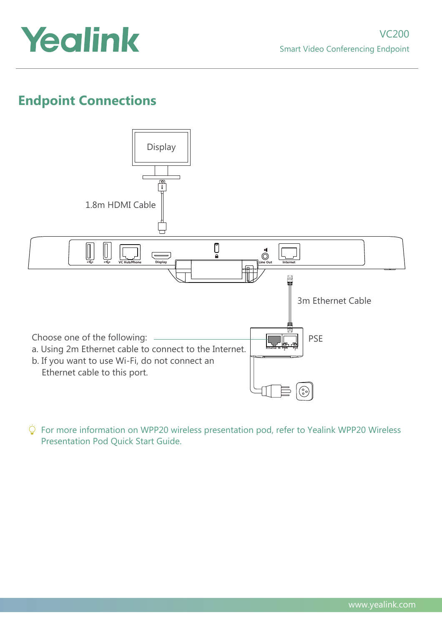

# **Endpoint Connections**



 $\breve{\varphi}$  For more information on WPP20 wireless presentation pod, refer to Yealink WPP20 Wireless Presentation Pod Quick Start Guide.